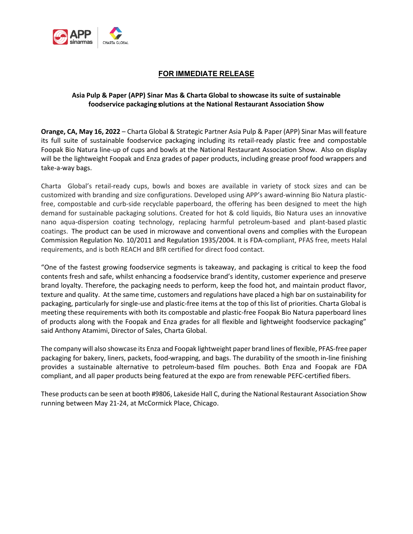

## **FOR IMMEDIATE RELEASE**

## **Asia Pulp & Paper (APP) Sinar Mas & Charta Global to showcase its suite of sustainable foodservice packaging solutions at the National Restaurant Association Show**

**Orange, CA, May 16, 2022** – Charta Global & Strategic Partner Asia Pulp & Paper (APP) Sinar Mas will feature its full suite of sustainable foodservice packaging including its retail-ready plastic free and compostable Foopak Bio Natura line-up of cups and bowls at the National Restaurant Association Show. Also on display will be the lightweight Foopak and Enza grades of paper products, including grease proof food wrappers and take-a-way bags.

Charta Global's retail-ready cups, bowls and boxes are available in variety of stock sizes and can be customized with branding and size configurations. Developed using APP's award-winning Bio Natura plasticfree, compostable and curb-side recyclable paperboard, the offering has been designed to meet the high demand for sustainable packaging solutions. Created for hot & cold liquids, Bio Natura uses an innovative nano aqua-dispersion coating technology, replacing harmful petroleum-based and plant-based plastic coatings. The product can be used in microwave and conventional ovens and complies with the European Commission Regulation No. 10/2011 and Regulation 1935/2004. It is FDA-compliant, PFAS free, meets Halal requirements, and is both REACH and BfR certified for direct food contact.

"One of the fastest growing foodservice segments is takeaway, and packaging is critical to keep the food contents fresh and safe, whilst enhancing a foodservice brand's identity, customer experience and preserve brand loyalty. Therefore, the packaging needs to perform, keep the food hot, and maintain product flavor, texture and quality. At the same time, customers and regulations have placed a high bar on sustainability for packaging, particularly for single-use and plastic-free items at the top of this list of priorities. Charta Global is meeting these requirements with both its compostable and plastic-free Foopak Bio Natura paperboard lines of products along with the Foopak and Enza grades for all flexible and lightweight foodservice packaging" said Anthony Atamimi, Director of Sales, Charta Global.

The company will also showcase its Enza and Foopak lightweight paper brand lines of flexible, PFAS-free paper packaging for bakery, liners, packets, food-wrapping, and bags. The durability of the smooth in-line finishing provides a sustainable alternative to petroleum-based film pouches. Both Enza and Foopak are FDA compliant, and all paper products being featured at the expo are from renewable PEFC-certified fibers.

These products can be seen at booth #9806, Lakeside Hall C, during the National Restaurant Association Show running between May 21-24, at McCormick Place, Chicago.